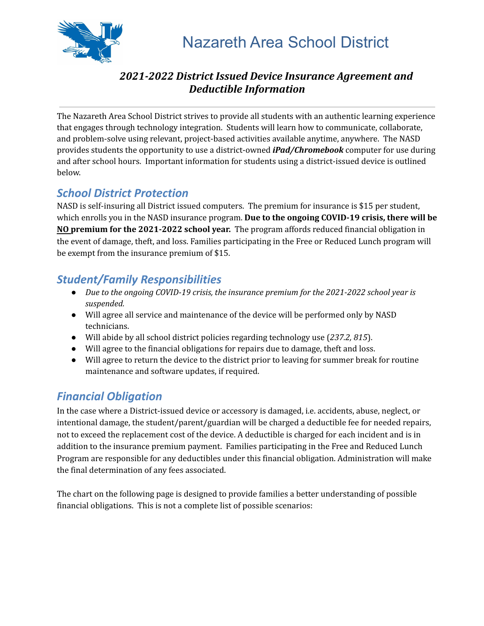

# Nazareth Area School District

#### *2021-2022 District Issued Device Insurance Agreement and Deductible Information*

The Nazareth Area School District strives to provide all students with an authentic learning experience that engages through technology integration. Students will learn how to communicate, collaborate, and problem-solve using relevant, project-based activities available anytime, anywhere. The NASD provides students the opportunity to use a district-owned *iPad/Chromebook* computer for use during and after school hours. Important information for students using a district-issued device is outlined below.

# *School District Protection*

NASD is self-insuring all District issued computers. The premium for insurance is \$15 per student, which enrolls you in the NASD insurance program. **Due to the ongoing COVID-19 crisis, there will be NO premium for the 2021-2022 school year.** The program affords reduced financial obligation in the event of damage, theft, and loss. Families participating in the Free or Reduced Lunch program will be exempt from the insurance premium of \$15.

## *Student/Family Responsibilities*

- *● Due to the ongoing COVID-19 crisis, the insurance premium for the 2021-2022 school year is suspended.*
- Will agree all service and maintenance of the device will be performed only by NASD technicians.
- Will abide by all school district policies regarding technology use (*237.2, 815*).
- Will agree to the financial obligations for repairs due to damage, theft and loss.
- Will agree to return the device to the district prior to leaving for summer break for routine maintenance and software updates, if required.

# *Financial Obligation*

In the case where a District-issued device or accessory is damaged, i.e. accidents, abuse, neglect, or intentional damage, the student/parent/guardian will be charged a deductible fee for needed repairs, not to exceed the replacement cost of the device. A deductible is charged for each incident and is in addition to the insurance premium payment. Families participating in the Free and Reduced Lunch Program are responsible for any deductibles under this financial obligation. Administration will make the final determination of any fees associated.

The chart on the following page is designed to provide families a better understanding of possible financial obligations. This is not a complete list of possible scenarios: